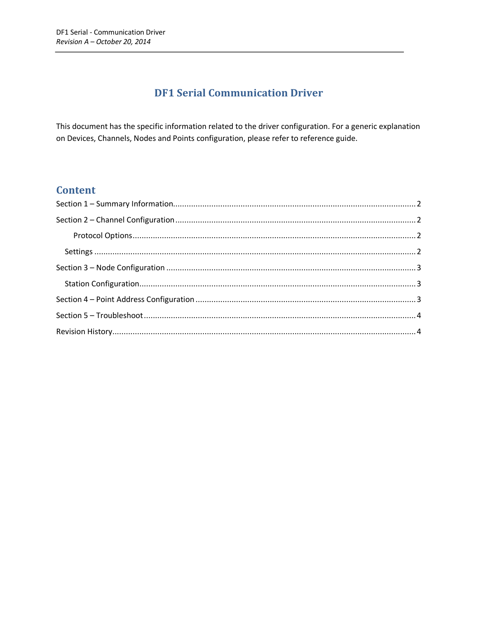# **DF1 Serial Communication Driver**

This document has the specific information related to the driver configuration. For a generic explanation on Devices, Channels, Nodes and Points configuration, please refer to reference guide.

## **Content**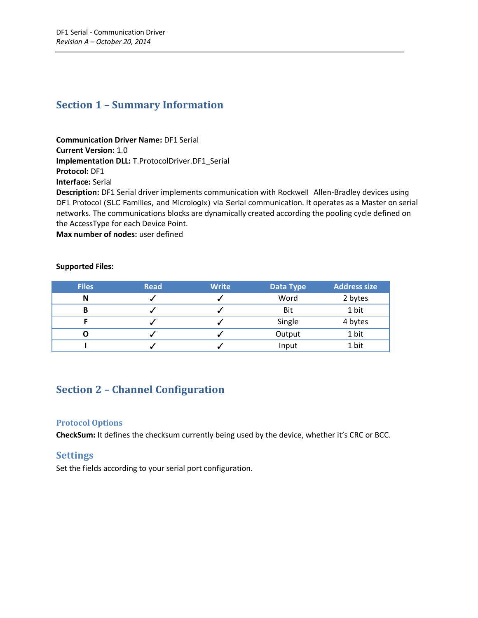### <span id="page-1-0"></span>**Section 1 – Summary Information**

**Communication Driver Name:** DF1 Serial **Current Version:** 1.0 **Implementation DLL:** T.ProtocolDriver.DF1\_Serial **Protocol:** DF1 **Interface:** Serial **Description:** DF1 Serial driver implements communication with Rockwell Allen-Bradley devices using DF1 Protocol (SLC Families, and Micrologix) via Serial communication. It operates as a Master on serial networks. The communications blocks are dynamically created according the pooling cycle defined on the AccessType for each Device Point.

**Max number of nodes:** user defined

#### **Supported Files:**

| <b>Files</b> | <b>Read</b> | <b>Write</b> | <b>Data Type</b> | <b>Address size</b> |
|--------------|-------------|--------------|------------------|---------------------|
| N            |             |              | Word             | 2 bytes             |
| в            |             |              | Bit              | 1 bit               |
|              |             |              | Single           | 4 bytes             |
|              |             |              | Output           | 1 bit               |
|              |             |              | Input            | 1 bit               |

## <span id="page-1-1"></span>**Section 2 – Channel Configuration**

#### <span id="page-1-2"></span>**Protocol Options**

**CheckSum:** It defines the checksum currently being used by the device, whether it's CRC or BCC.

#### <span id="page-1-3"></span>**Settings**

Set the fields according to your serial port configuration.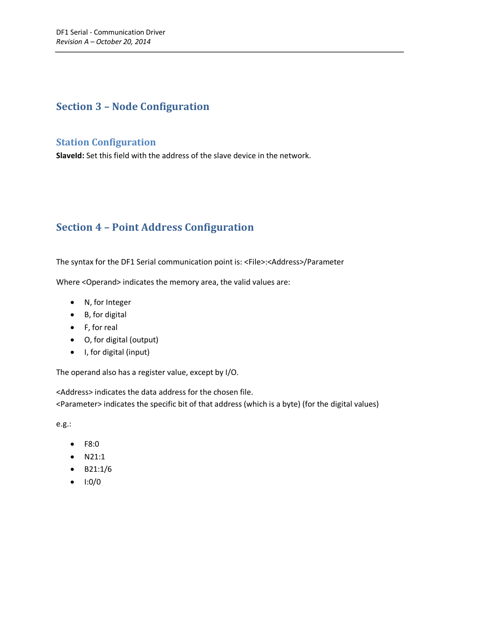## <span id="page-2-0"></span>**Section 3 – Node Configuration**

### <span id="page-2-1"></span>**Station Configuration**

**SlaveId:** Set this field with the address of the slave device in the network.

# <span id="page-2-2"></span>**Section 4 – Point Address Configuration**

The syntax for the DF1 Serial communication point is: <File>:<Address>/Parameter

Where <Operand> indicates the memory area, the valid values are:

- N, for Integer
- B, for digital
- F, for real
- O, for digital (output)
- I, for digital (input)

The operand also has a register value, except by I/O.

<Address> indicates the data address for the chosen file. <Parameter> indicates the specific bit of that address (which is a byte) (for the digital values)

e.g.:

- F8:0
- $\bullet$  N21:1
- B21:1/6
- $\bullet$  1:0/0